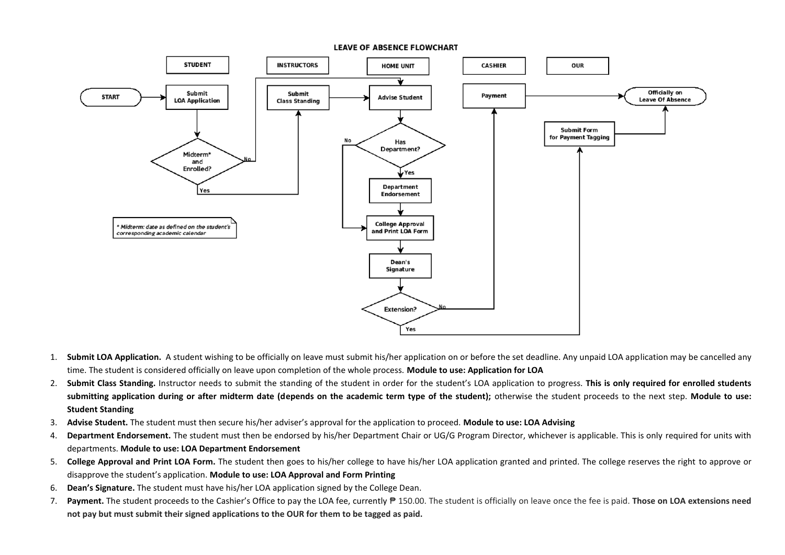

- 1. **Submit LOA Application.** A student wishing to be officially on leave must submit his/her application on or before the set deadline. Any unpaid LOA application may be cancelled any time. The student is considered officially on leave upon completion of the whole process. **Module to use: Application for LOA**
- 2. **Submit Class Standing.** Instructor needs to submit the standing of the student in order for the student's LOA application to progress. **This is only required for enrolled students**  submitting application during or after midterm date (depends on the academic term type of the student); otherwise the student proceeds to the next step. Module to use: **Student Standing**
- 3. **Advise Student.** The student must then secure his/her adviser's approval for the application to proceed. **Module to use: LOA Advising**
- 4. Department Endorsement. The student must then be endorsed by his/her Department Chair or UG/G Program Director, whichever is applicable. This is only required for units with departments. **Module to use: LOA Department Endorsement**
- 5. **College Approval and Print LOA Form.** The student then goes to his/her college to have his/her LOA application granted and printed. The college reserves the right to approve or disapprove the student's application. **Module to use: LOA Approval and Form Printing**
- 6. **Dean's Signature.** The student must have his/her LOA application signed by the College Dean.
- 7. **Payment.** The student proceeds to the Cashier's Office to pay the LOA fee, currently ₱ 150.00. The student is officially on leave once the fee is paid. **Those on LOA extensions need not pay but must submit their signed applications to the OUR for them to be tagged as paid.**